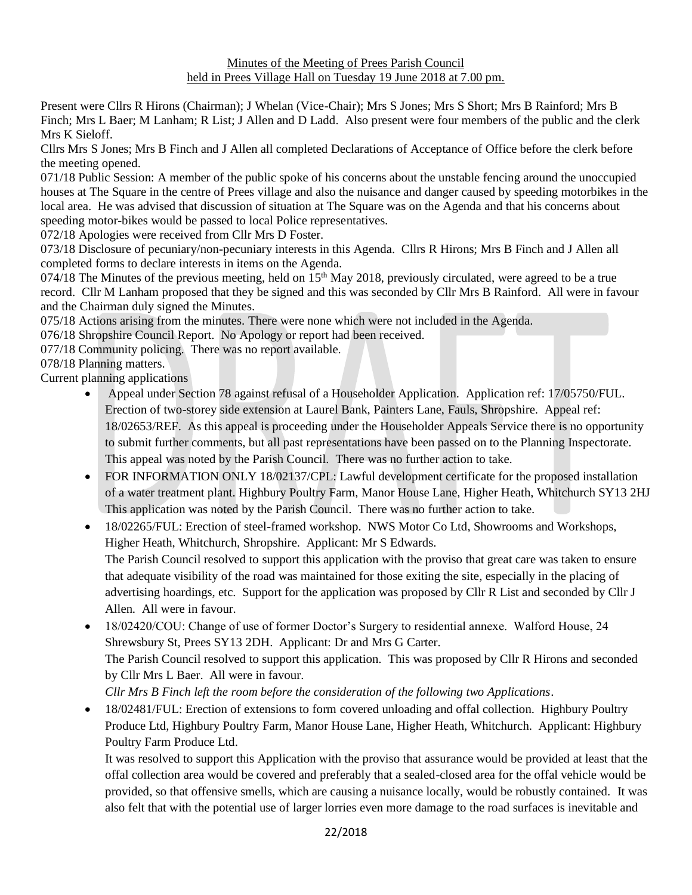## Minutes of the Meeting of Prees Parish Council held in Prees Village Hall on Tuesday 19 June 2018 at 7.00 pm.

Present were Cllrs R Hirons (Chairman); J Whelan (Vice-Chair); Mrs S Jones; Mrs S Short; Mrs B Rainford; Mrs B Finch; Mrs L Baer; M Lanham; R List; J Allen and D Ladd. Also present were four members of the public and the clerk Mrs K Sieloff.

Cllrs Mrs S Jones; Mrs B Finch and J Allen all completed Declarations of Acceptance of Office before the clerk before the meeting opened.

071/18 Public Session: A member of the public spoke of his concerns about the unstable fencing around the unoccupied houses at The Square in the centre of Prees village and also the nuisance and danger caused by speeding motorbikes in the local area. He was advised that discussion of situation at The Square was on the Agenda and that his concerns about speeding motor-bikes would be passed to local Police representatives.

072/18 Apologies were received from Cllr Mrs D Foster.

073/18 Disclosure of pecuniary/non-pecuniary interests in this Agenda. Cllrs R Hirons; Mrs B Finch and J Allen all completed forms to declare interests in items on the Agenda.

074/18 The Minutes of the previous meeting, held on  $15<sup>th</sup>$  May 2018, previously circulated, were agreed to be a true record. Cllr M Lanham proposed that they be signed and this was seconded by Cllr Mrs B Rainford. All were in favour and the Chairman duly signed the Minutes.

075/18 Actions arising from the minutes. There were none which were not included in the Agenda.

076/18 Shropshire Council Report. No Apology or report had been received.

077/18 Community policing. There was no report available.

078/18 Planning matters.

Current planning applications

- Appeal under Section 78 against refusal of a Householder Application. Application ref: 17/05750/FUL. Erection of two-storey side extension at Laurel Bank, Painters Lane, Fauls, Shropshire. Appeal ref: 18/02653/REF. As this appeal is proceeding under the Householder Appeals Service there is no opportunity to submit further comments, but all past representations have been passed on to the Planning Inspectorate. This appeal was noted by the Parish Council. There was no further action to take.
- FOR INFORMATION ONLY 18/02137/CPL: Lawful development certificate for the proposed installation of a water treatment plant. Highbury Poultry Farm, Manor House Lane, Higher Heath, Whitchurch SY13 2HJ This application was noted by the Parish Council. There was no further action to take.
- 18/02265/FUL: Erection of steel-framed workshop. NWS Motor Co Ltd, Showrooms and Workshops, Higher Heath, Whitchurch, Shropshire. Applicant: Mr S Edwards. The Parish Council resolved to support this application with the proviso that great care was taken to ensure that adequate visibility of the road was maintained for those exiting the site, especially in the placing of advertising hoardings, etc. Support for the application was proposed by Cllr R List and seconded by Cllr J Allen. All were in favour.
- 18/02420/COU: Change of use of former Doctor's Surgery to residential annexe. Walford House, 24 Shrewsbury St, Prees SY13 2DH. Applicant: Dr and Mrs G Carter. The Parish Council resolved to support this application. This was proposed by Cllr R Hirons and seconded by Cllr Mrs L Baer. All were in favour. *Cllr Mrs B Finch left the room before the consideration of the following two Applications*.
- 18/02481/FUL: Erection of extensions to form covered unloading and offal collection. Highbury Poultry Produce Ltd, Highbury Poultry Farm, Manor House Lane, Higher Heath, Whitchurch. Applicant: Highbury Poultry Farm Produce Ltd.

It was resolved to support this Application with the proviso that assurance would be provided at least that the offal collection area would be covered and preferably that a sealed-closed area for the offal vehicle would be provided, so that offensive smells, which are causing a nuisance locally, would be robustly contained. It was also felt that with the potential use of larger lorries even more damage to the road surfaces is inevitable and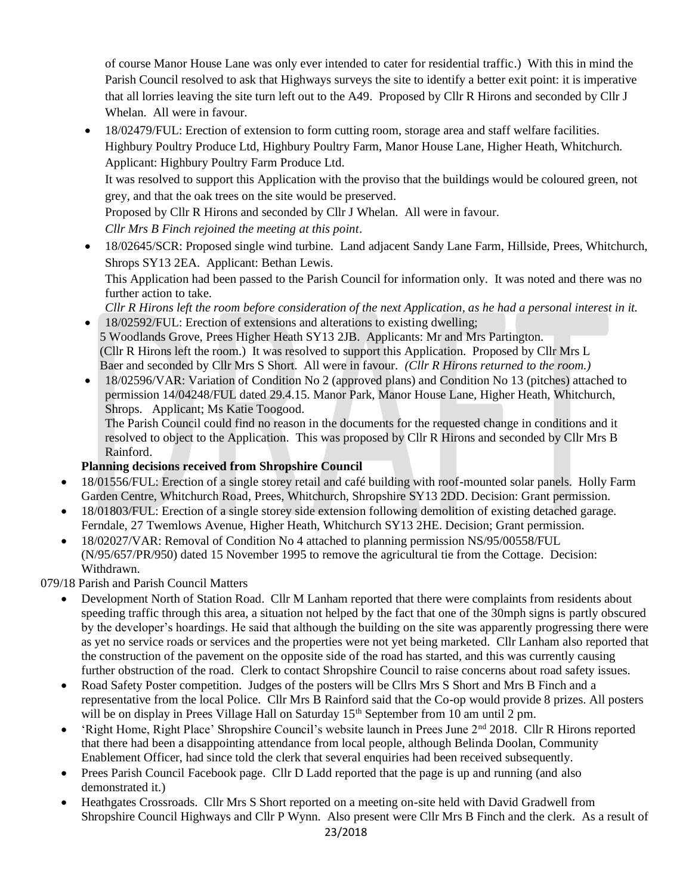of course Manor House Lane was only ever intended to cater for residential traffic.) With this in mind the Parish Council resolved to ask that Highways surveys the site to identify a better exit point: it is imperative that all lorries leaving the site turn left out to the A49. Proposed by Cllr R Hirons and seconded by Cllr J Whelan. All were in favour.

• 18/02479/FUL: Erection of extension to form cutting room, storage area and staff welfare facilities. Highbury Poultry Produce Ltd, Highbury Poultry Farm, Manor House Lane, Higher Heath, Whitchurch. Applicant: Highbury Poultry Farm Produce Ltd. It was resolved to support this Application with the proviso that the buildings would be coloured green, not grey, and that the oak trees on the site would be preserved. Proposed by Cllr R Hirons and seconded by Cllr J Whelan. All were in favour. *Cllr Mrs B Finch rejoined the meeting at this point*. • 18/02645/SCR: Proposed single wind turbine. Land adjacent Sandy Lane Farm, Hillside, Prees, Whitchurch, Shrops SY13 2EA. Applicant: Bethan Lewis. This Application had been passed to the Parish Council for information only. It was noted and there was no

further action to take. *Cllr R Hirons left the room before consideration of the next Application, as he had a personal interest in it.*

- 18/02592/FUL: Erection of extensions and alterations to existing dwelling; 5 Woodlands Grove, Prees Higher Heath SY13 2JB. Applicants: Mr and Mrs Partington. (Cllr R Hirons left the room.) It was resolved to support this Application. Proposed by Cllr Mrs L Baer and seconded by Cllr Mrs S Short. All were in favour. *(Cllr R Hirons returned to the room.)*
- 18/02596/VAR: Variation of Condition No 2 (approved plans) and Condition No 13 (pitches) attached to permission 14/04248/FUL dated 29.4.15. Manor Park, Manor House Lane, Higher Heath, Whitchurch, Shrops. Applicant; Ms Katie Toogood.

The Parish Council could find no reason in the documents for the requested change in conditions and it resolved to object to the Application. This was proposed by Cllr R Hirons and seconded by Cllr Mrs B Rainford.

## **Planning decisions received from Shropshire Council**

- 18/01556/FUL: Erection of a single storey retail and café building with roof-mounted solar panels. Holly Farm Garden Centre, Whitchurch Road, Prees, Whitchurch, Shropshire SY13 2DD. Decision: Grant permission.
- 18/01803/FUL: Erection of a single storey side extension following demolition of existing detached garage. Ferndale, 27 Twemlows Avenue, Higher Heath, Whitchurch SY13 2HE. Decision; Grant permission.
- 18/02027/VAR: Removal of Condition No 4 attached to planning permission NS/95/00558/FUL (N/95/657/PR/950) dated 15 November 1995 to remove the agricultural tie from the Cottage. Decision: Withdrawn.

079/18 Parish and Parish Council Matters

- Development North of Station Road. Cllr M Lanham reported that there were complaints from residents about speeding traffic through this area, a situation not helped by the fact that one of the 30mph signs is partly obscured by the developer's hoardings. He said that although the building on the site was apparently progressing there were as yet no service roads or services and the properties were not yet being marketed. Cllr Lanham also reported that the construction of the pavement on the opposite side of the road has started, and this was currently causing further obstruction of the road. Clerk to contact Shropshire Council to raise concerns about road safety issues.
- Road Safety Poster competition. Judges of the posters will be Cllrs Mrs S Short and Mrs B Finch and a representative from the local Police. Cllr Mrs B Rainford said that the Co-op would provide 8 prizes. All posters will be on display in Prees Village Hall on Saturday  $15<sup>th</sup>$  September from 10 am until 2 pm.
- 'Right Home, Right Place' Shropshire Council's website launch in Prees June 2nd 2018. Cllr R Hirons reported that there had been a disappointing attendance from local people, although Belinda Doolan, Community Enablement Officer, had since told the clerk that several enquiries had been received subsequently.
- Prees Parish Council Facebook page. Cllr D Ladd reported that the page is up and running (and also demonstrated it.)
- Heathgates Crossroads. Cllr Mrs S Short reported on a meeting on-site held with David Gradwell from Shropshire Council Highways and Cllr P Wynn. Also present were Cllr Mrs B Finch and the clerk. As a result of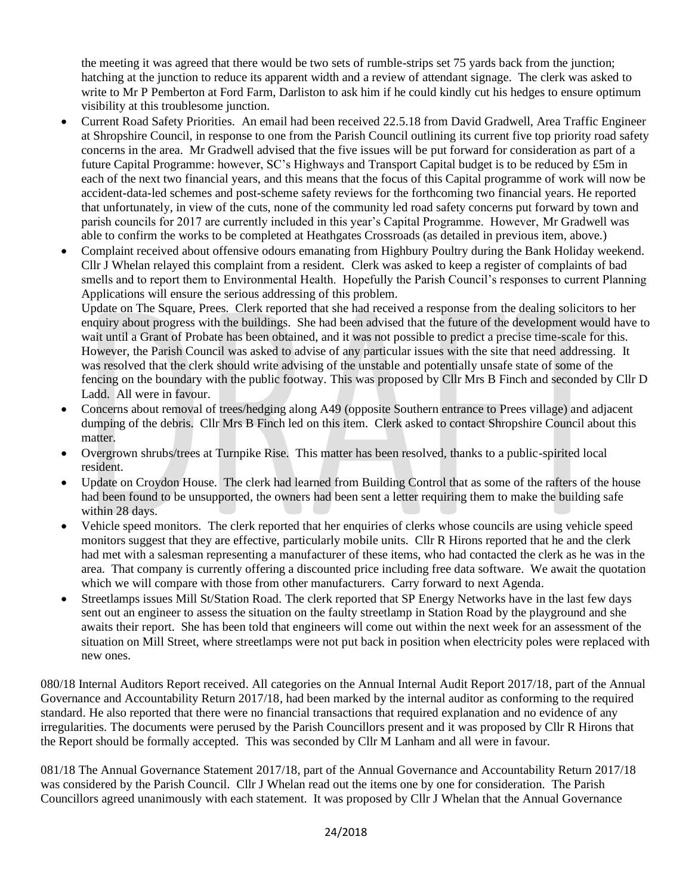the meeting it was agreed that there would be two sets of rumble-strips set 75 yards back from the junction; hatching at the junction to reduce its apparent width and a review of attendant signage. The clerk was asked to write to Mr P Pemberton at Ford Farm, Darliston to ask him if he could kindly cut his hedges to ensure optimum visibility at this troublesome junction.

- Current Road Safety Priorities. An email had been received 22.5.18 from David Gradwell, Area Traffic Engineer at Shropshire Council, in response to one from the Parish Council outlining its current five top priority road safety concerns in the area. Mr Gradwell advised that the five issues will be put forward for consideration as part of a future Capital Programme: however, SC's Highways and Transport Capital budget is to be reduced by £5m in each of the next two financial years, and this means that the focus of this Capital programme of work will now be accident-data-led schemes and post-scheme safety reviews for the forthcoming two financial years. He reported that unfortunately, in view of the cuts, none of the community led road safety concerns put forward by town and parish councils for 2017 are currently included in this year's Capital Programme. However, Mr Gradwell was able to confirm the works to be completed at Heathgates Crossroads (as detailed in previous item, above.)
- Complaint received about offensive odours emanating from Highbury Poultry during the Bank Holiday weekend. Cllr J Whelan relayed this complaint from a resident. Clerk was asked to keep a register of complaints of bad smells and to report them to Environmental Health. Hopefully the Parish Council's responses to current Planning Applications will ensure the serious addressing of this problem.

Update on The Square, Prees. Clerk reported that she had received a response from the dealing solicitors to her enquiry about progress with the buildings. She had been advised that the future of the development would have to wait until a Grant of Probate has been obtained, and it was not possible to predict a precise time-scale for this. However, the Parish Council was asked to advise of any particular issues with the site that need addressing. It was resolved that the clerk should write advising of the unstable and potentially unsafe state of some of the fencing on the boundary with the public footway. This was proposed by Cllr Mrs B Finch and seconded by Cllr D Ladd. All were in favour.

- Concerns about removal of trees/hedging along A49 (opposite Southern entrance to Prees village) and adjacent dumping of the debris. Cllr Mrs B Finch led on this item. Clerk asked to contact Shropshire Council about this matter.
- Overgrown shrubs/trees at Turnpike Rise. This matter has been resolved, thanks to a public-spirited local resident.
- Update on Croydon House. The clerk had learned from Building Control that as some of the rafters of the house had been found to be unsupported, the owners had been sent a letter requiring them to make the building safe within 28 days.
- Vehicle speed monitors. The clerk reported that her enquiries of clerks whose councils are using vehicle speed monitors suggest that they are effective, particularly mobile units. Cllr R Hirons reported that he and the clerk had met with a salesman representing a manufacturer of these items, who had contacted the clerk as he was in the area. That company is currently offering a discounted price including free data software. We await the quotation which we will compare with those from other manufacturers. Carry forward to next Agenda.
- Streetlamps issues Mill St/Station Road. The clerk reported that SP Energy Networks have in the last few days sent out an engineer to assess the situation on the faulty streetlamp in Station Road by the playground and she awaits their report. She has been told that engineers will come out within the next week for an assessment of the situation on Mill Street, where streetlamps were not put back in position when electricity poles were replaced with new ones.

080/18 Internal Auditors Report received. All categories on the Annual Internal Audit Report 2017/18, part of the Annual Governance and Accountability Return 2017/18, had been marked by the internal auditor as conforming to the required standard. He also reported that there were no financial transactions that required explanation and no evidence of any irregularities. The documents were perused by the Parish Councillors present and it was proposed by Cllr R Hirons that the Report should be formally accepted. This was seconded by Cllr M Lanham and all were in favour.

081/18 The Annual Governance Statement 2017/18, part of the Annual Governance and Accountability Return 2017/18 was considered by the Parish Council. Cllr J Whelan read out the items one by one for consideration. The Parish Councillors agreed unanimously with each statement. It was proposed by Cllr J Whelan that the Annual Governance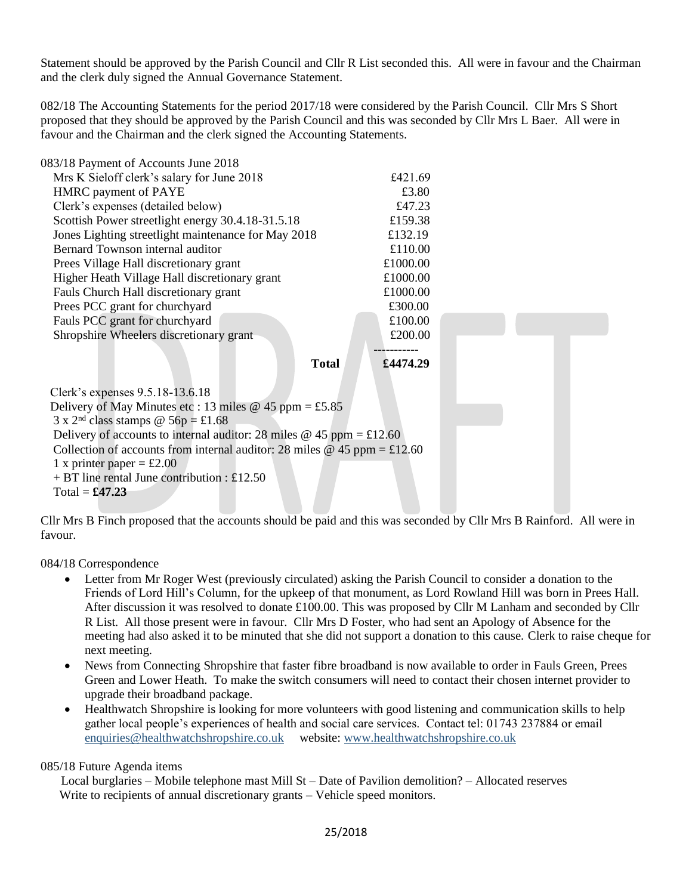Statement should be approved by the Parish Council and Cllr R List seconded this. All were in favour and the Chairman and the clerk duly signed the Annual Governance Statement.

082/18 The Accounting Statements for the period 2017/18 were considered by the Parish Council. Cllr Mrs S Short proposed that they should be approved by the Parish Council and this was seconded by Cllr Mrs L Baer. All were in favour and the Chairman and the clerk signed the Accounting Statements.

| 083/18 Payment of Accounts June 2018                                     |              |          |  |  |  |
|--------------------------------------------------------------------------|--------------|----------|--|--|--|
| Mrs K Sieloff clerk's salary for June 2018                               |              | £421.69  |  |  |  |
| HMRC payment of PAYE                                                     |              | £3.80    |  |  |  |
| Clerk's expenses (detailed below)                                        |              | £47.23   |  |  |  |
| Scottish Power streetlight energy 30.4.18-31.5.18                        |              | £159.38  |  |  |  |
| Jones Lighting streetlight maintenance for May 2018                      |              | £132.19  |  |  |  |
| Bernard Townson internal auditor                                         |              | £110.00  |  |  |  |
| Prees Village Hall discretionary grant                                   |              | £1000.00 |  |  |  |
| Higher Heath Village Hall discretionary grant                            |              | £1000.00 |  |  |  |
| Fauls Church Hall discretionary grant                                    |              | £1000.00 |  |  |  |
| Prees PCC grant for churchyard                                           |              | £300.00  |  |  |  |
| Fauls PCC grant for churchyard                                           |              | £100.00  |  |  |  |
| Shropshire Wheelers discretionary grant                                  |              | £200.00  |  |  |  |
|                                                                          |              |          |  |  |  |
|                                                                          | <b>Total</b> | £4474.29 |  |  |  |
|                                                                          |              |          |  |  |  |
| Clerk's expenses 9.5.18-13.6.18                                          |              |          |  |  |  |
| Delivery of May Minutes etc: 13 miles @ 45 ppm = £5.85                   |              |          |  |  |  |
| $3 \times 2^{nd}$ class stamps @ 56p = £1.68                             |              |          |  |  |  |
| Delivery of accounts to internal auditor: 28 miles @ 45 ppm = £12.60     |              |          |  |  |  |
| Collection of accounts from internal auditor: 28 miles @ 45 ppm = £12.60 |              |          |  |  |  |
| 1 x printer paper = £2.00                                                |              |          |  |  |  |
| $+ BT$ line rental June contribution : £12.50                            |              |          |  |  |  |
| Total = $\pounds 47.23$                                                  |              |          |  |  |  |

Cllr Mrs B Finch proposed that the accounts should be paid and this was seconded by Cllr Mrs B Rainford. All were in favour.

084/18 Correspondence

- Letter from Mr Roger West (previously circulated) asking the Parish Council to consider a donation to the Friends of Lord Hill's Column, for the upkeep of that monument, as Lord Rowland Hill was born in Prees Hall. After discussion it was resolved to donate £100.00. This was proposed by Cllr M Lanham and seconded by Cllr R List. All those present were in favour. Cllr Mrs D Foster, who had sent an Apology of Absence for the meeting had also asked it to be minuted that she did not support a donation to this cause. Clerk to raise cheque for next meeting.
- News from Connecting Shropshire that faster fibre broadband is now available to order in Fauls Green, Prees Green and Lower Heath. To make the switch consumers will need to contact their chosen internet provider to upgrade their broadband package.
- Healthwatch Shropshire is looking for more volunteers with good listening and communication skills to help gather local people's experiences of health and social care services. Contact tel: 01743 237884 or email [enquiries@healthwatchshropshire.co.uk](mailto:enquiries@healthwatchshropshire.co.uk) website: [www.healthwatchshropshire.co.uk](http://www.healthwatchshropshire.co.uk/)

## 085/18 Future Agenda items

Local burglaries – Mobile telephone mast Mill St – Date of Pavilion demolition? – Allocated reserves Write to recipients of annual discretionary grants – Vehicle speed monitors.